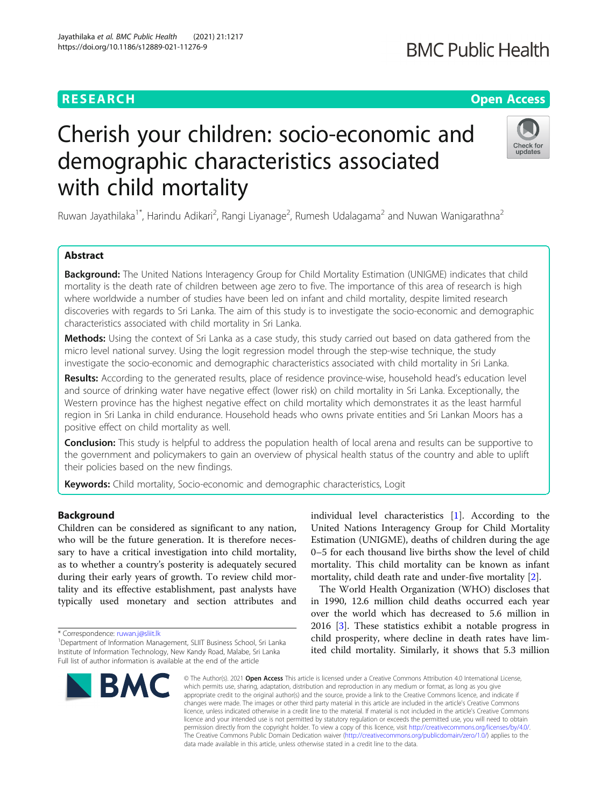# Jayathilaka et al. BMC Public Health (2021) 21:1217 https://doi.org/10.1186/s12889-021-11276-9

# **RESEARCH CHE Open Access**

# **BMC Public Health**

Check for updates

# Cherish your children: socio-economic and demographic characteristics associated with child mortality

Ruwan Jayathilaka<sup>1\*</sup>, Harindu Adikari<sup>2</sup>, Rangi Liyanage<sup>2</sup>, Rumesh Udalagama<sup>2</sup> and Nuwan Wanigarathna<sup>2</sup>

# Abstract

**Background:** The United Nations Interagency Group for Child Mortality Estimation (UNIGME) indicates that child mortality is the death rate of children between age zero to five. The importance of this area of research is high where worldwide a number of studies have been led on infant and child mortality, despite limited research discoveries with regards to Sri Lanka. The aim of this study is to investigate the socio-economic and demographic characteristics associated with child mortality in Sri Lanka.

Methods: Using the context of Sri Lanka as a case study, this study carried out based on data gathered from the micro level national survey. Using the logit regression model through the step-wise technique, the study investigate the socio-economic and demographic characteristics associated with child mortality in Sri Lanka.

Results: According to the generated results, place of residence province-wise, household head's education level and source of drinking water have negative effect (lower risk) on child mortality in Sri Lanka. Exceptionally, the Western province has the highest negative effect on child mortality which demonstrates it as the least harmful region in Sri Lanka in child endurance. Household heads who owns private entities and Sri Lankan Moors has a positive effect on child mortality as well.

**Conclusion:** This study is helpful to address the population health of local arena and results can be supportive to the government and policymakers to gain an overview of physical health status of the country and able to uplift their policies based on the new findings.

Keywords: Child mortality, Socio-economic and demographic characteristics, Logit

# Background

Children can be considered as significant to any nation, who will be the future generation. It is therefore necessary to have a critical investigation into child mortality, as to whether a country's posterity is adequately secured during their early years of growth. To review child mortality and its effective establishment, past analysts have typically used monetary and section attributes and

\* Correspondence: [ruwan.j@sliit.lk](mailto:ruwan.j@sliit.lk) <sup>1</sup>

<sup>&</sup>lt;sup>1</sup> Department of Information Management, SLIIT Business School, Sri Lanka Institute of Information Technology, New Kandy Road, Malabe, Sri Lanka Full list of author information is available at the end of the article



individual level characteristics [[1\]](#page-12-0). According to the United Nations Interagency Group for Child Mortality Estimation (UNIGME), deaths of children during the age 0–5 for each thousand live births show the level of child mortality. This child mortality can be known as infant mortality, child death rate and under-five mortality [\[2](#page-12-0)].

The World Health Organization (WHO) discloses that in 1990, 12.6 million child deaths occurred each year over the world which has decreased to 5.6 million in 2016 [\[3](#page-12-0)]. These statistics exhibit a notable progress in child prosperity, where decline in death rates have limited child mortality. Similarly, it shows that 5.3 million

© The Author(s), 2021 **Open Access** This article is licensed under a Creative Commons Attribution 4.0 International License, which permits use, sharing, adaptation, distribution and reproduction in any medium or format, as long as you give appropriate credit to the original author(s) and the source, provide a link to the Creative Commons licence, and indicate if changes were made. The images or other third party material in this article are included in the article's Creative Commons licence, unless indicated otherwise in a credit line to the material. If material is not included in the article's Creative Commons licence and your intended use is not permitted by statutory regulation or exceeds the permitted use, you will need to obtain permission directly from the copyright holder. To view a copy of this licence, visit [http://creativecommons.org/licenses/by/4.0/.](http://creativecommons.org/licenses/by/4.0/) The Creative Commons Public Domain Dedication waiver [\(http://creativecommons.org/publicdomain/zero/1.0/](http://creativecommons.org/publicdomain/zero/1.0/)) applies to the data made available in this article, unless otherwise stated in a credit line to the data.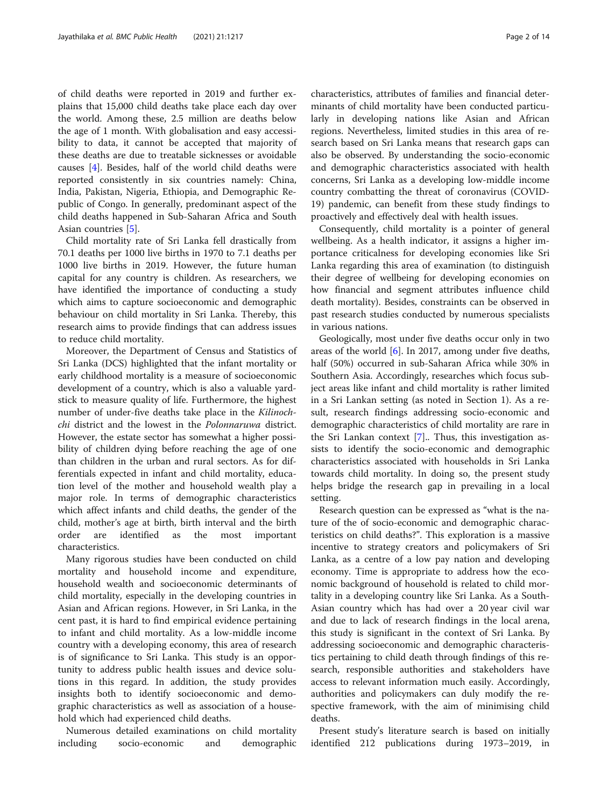of child deaths were reported in 2019 and further explains that 15,000 child deaths take place each day over the world. Among these, 2.5 million are deaths below the age of 1 month. With globalisation and easy accessibility to data, it cannot be accepted that majority of these deaths are due to treatable sicknesses or avoidable causes [\[4\]](#page-12-0). Besides, half of the world child deaths were reported consistently in six countries namely: China, India, Pakistan, Nigeria, Ethiopia, and Demographic Republic of Congo. In generally, predominant aspect of the child deaths happened in Sub-Saharan Africa and South Asian countries [[5\]](#page-12-0).

Child mortality rate of Sri Lanka fell drastically from 70.1 deaths per 1000 live births in 1970 to 7.1 deaths per 1000 live births in 2019. However, the future human capital for any country is children. As researchers, we have identified the importance of conducting a study which aims to capture socioeconomic and demographic behaviour on child mortality in Sri Lanka. Thereby, this research aims to provide findings that can address issues to reduce child mortality.

Moreover, the Department of Census and Statistics of Sri Lanka (DCS) highlighted that the infant mortality or early childhood mortality is a measure of socioeconomic development of a country, which is also a valuable yardstick to measure quality of life. Furthermore, the highest number of under-five deaths take place in the Kilinochchi district and the lowest in the Polonnaruwa district. However, the estate sector has somewhat a higher possibility of children dying before reaching the age of one than children in the urban and rural sectors. As for differentials expected in infant and child mortality, education level of the mother and household wealth play a major role. In terms of demographic characteristics which affect infants and child deaths, the gender of the child, mother's age at birth, birth interval and the birth order are identified as the most important characteristics.

Many rigorous studies have been conducted on child mortality and household income and expenditure, household wealth and socioeconomic determinants of child mortality, especially in the developing countries in Asian and African regions. However, in Sri Lanka, in the cent past, it is hard to find empirical evidence pertaining to infant and child mortality. As a low-middle income country with a developing economy, this area of research is of significance to Sri Lanka. This study is an opportunity to address public health issues and device solutions in this regard. In addition, the study provides insights both to identify socioeconomic and demographic characteristics as well as association of a household which had experienced child deaths.

Numerous detailed examinations on child mortality including socio-economic and demographic

characteristics, attributes of families and financial determinants of child mortality have been conducted particularly in developing nations like Asian and African regions. Nevertheless, limited studies in this area of research based on Sri Lanka means that research gaps can also be observed. By understanding the socio-economic and demographic characteristics associated with health concerns, Sri Lanka as a developing low-middle income country combatting the threat of coronavirus (COVID-19) pandemic, can benefit from these study findings to proactively and effectively deal with health issues.

Consequently, child mortality is a pointer of general wellbeing. As a health indicator, it assigns a higher importance criticalness for developing economies like Sri Lanka regarding this area of examination (to distinguish their degree of wellbeing for developing economies on how financial and segment attributes influence child death mortality). Besides, constraints can be observed in past research studies conducted by numerous specialists in various nations.

Geologically, most under five deaths occur only in two areas of the world [[6\]](#page-12-0). In 2017, among under five deaths, half (50%) occurred in sub-Saharan Africa while 30% in Southern Asia. Accordingly, researches which focus subject areas like infant and child mortality is rather limited in a Sri Lankan setting (as noted in Section 1). As a result, research findings addressing socio-economic and demographic characteristics of child mortality are rare in the Sri Lankan context [[7\]](#page-12-0).. Thus, this investigation assists to identify the socio-economic and demographic characteristics associated with households in Sri Lanka towards child mortality. In doing so, the present study helps bridge the research gap in prevailing in a local setting.

Research question can be expressed as "what is the nature of the of socio-economic and demographic characteristics on child deaths?". This exploration is a massive incentive to strategy creators and policymakers of Sri Lanka, as a centre of a low pay nation and developing economy. Time is appropriate to address how the economic background of household is related to child mortality in a developing country like Sri Lanka. As a South-Asian country which has had over a 20 year civil war and due to lack of research findings in the local arena, this study is significant in the context of Sri Lanka. By addressing socioeconomic and demographic characteristics pertaining to child death through findings of this research, responsible authorities and stakeholders have access to relevant information much easily. Accordingly, authorities and policymakers can duly modify the respective framework, with the aim of minimising child deaths.

Present study's literature search is based on initially identified 212 publications during 1973–2019, in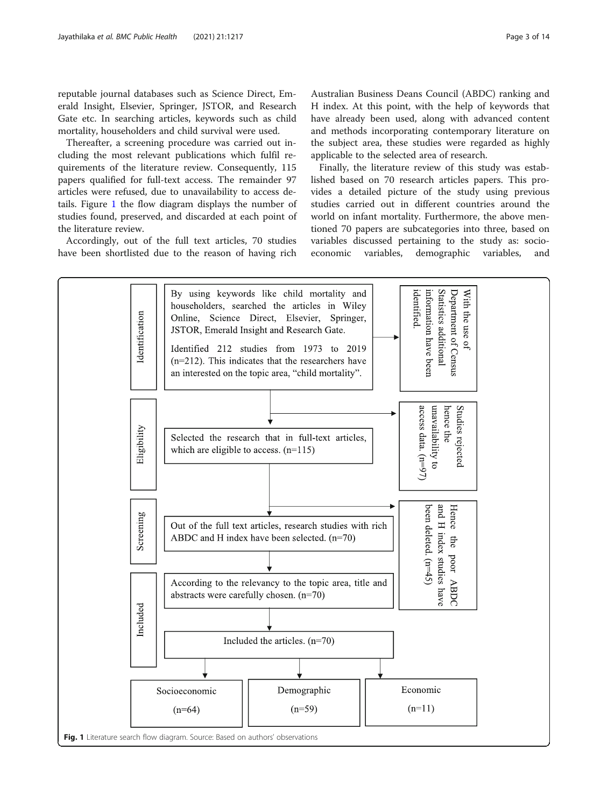<span id="page-2-0"></span>reputable journal databases such as Science Direct, Emerald Insight, Elsevier, Springer, JSTOR, and Research Gate etc. In searching articles, keywords such as child mortality, householders and child survival were used.

Thereafter, a screening procedure was carried out including the most relevant publications which fulfil requirements of the literature review. Consequently, 115 papers qualified for full-text access. The remainder 97 articles were refused, due to unavailability to access details. Figure 1 the flow diagram displays the number of studies found, preserved, and discarded at each point of the literature review.

Accordingly, out of the full text articles, 70 studies have been shortlisted due to the reason of having rich

Australian Business Deans Council (ABDC) ranking and H index. At this point, with the help of keywords that have already been used, along with advanced content and methods incorporating contemporary literature on the subject area, these studies were regarded as highly applicable to the selected area of research.

Finally, the literature review of this study was established based on 70 research articles papers. This provides a detailed picture of the study using previous studies carried out in different countries around the world on infant mortality. Furthermore, the above mentioned 70 papers are subcategories into three, based on variables discussed pertaining to the study as: socioeconomic variables, demographic variables, and

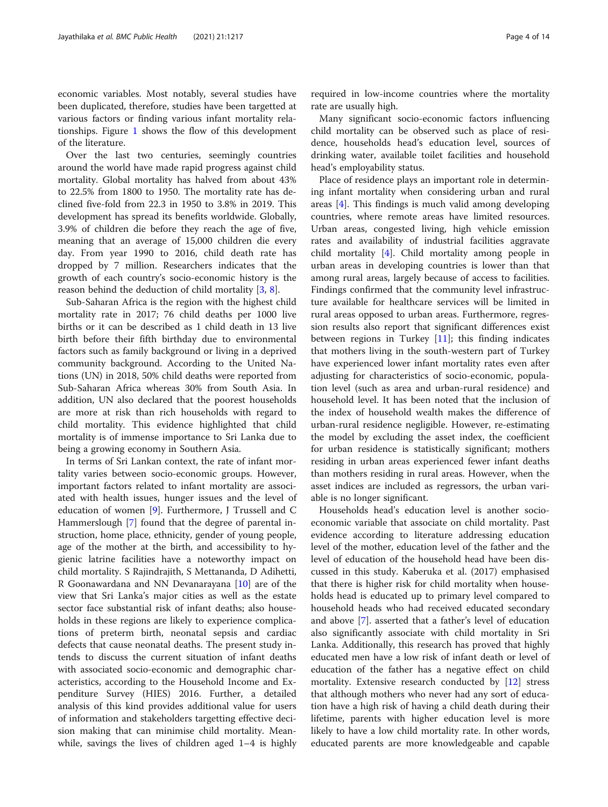economic variables. Most notably, several studies have been duplicated, therefore, studies have been targetted at various factors or finding various infant mortality relationships. Figure [1](#page-2-0) shows the flow of this development of the literature.

Over the last two centuries, seemingly countries around the world have made rapid progress against child mortality. Global mortality has halved from about 43% to 22.5% from 1800 to 1950. The mortality rate has declined five-fold from 22.3 in 1950 to 3.8% in 2019. This development has spread its benefits worldwide. Globally, 3.9% of children die before they reach the age of five, meaning that an average of 15,000 children die every day. From year 1990 to 2016, child death rate has dropped by 7 million. Researchers indicates that the growth of each country's socio-economic history is the reason behind the deduction of child mortality [\[3](#page-12-0), [8](#page-12-0)].

Sub-Saharan Africa is the region with the highest child mortality rate in 2017; 76 child deaths per 1000 live births or it can be described as 1 child death in 13 live birth before their fifth birthday due to environmental factors such as family background or living in a deprived community background. According to the United Nations (UN) in 2018, 50% child deaths were reported from Sub-Saharan Africa whereas 30% from South Asia. In addition, UN also declared that the poorest households are more at risk than rich households with regard to child mortality. This evidence highlighted that child mortality is of immense importance to Sri Lanka due to being a growing economy in Southern Asia.

In terms of Sri Lankan context, the rate of infant mortality varies between socio-economic groups. However, important factors related to infant mortality are associated with health issues, hunger issues and the level of education of women [\[9](#page-12-0)]. Furthermore, J Trussell and C Hammerslough [\[7](#page-12-0)] found that the degree of parental instruction, home place, ethnicity, gender of young people, age of the mother at the birth, and accessibility to hygienic latrine facilities have a noteworthy impact on child mortality. S Rajindrajith, S Mettananda, D Adihetti, R Goonawardana and NN Devanarayana [\[10\]](#page-12-0) are of the view that Sri Lanka's major cities as well as the estate sector face substantial risk of infant deaths; also households in these regions are likely to experience complications of preterm birth, neonatal sepsis and cardiac defects that cause neonatal deaths. The present study intends to discuss the current situation of infant deaths with associated socio-economic and demographic characteristics, according to the Household Income and Expenditure Survey (HIES) 2016. Further, a detailed analysis of this kind provides additional value for users of information and stakeholders targetting effective decision making that can minimise child mortality. Meanwhile, savings the lives of children aged 1–4 is highly

required in low-income countries where the mortality rate are usually high.

Many significant socio-economic factors influencing child mortality can be observed such as place of residence, households head's education level, sources of drinking water, available toilet facilities and household head's employability status.

Place of residence plays an important role in determining infant mortality when considering urban and rural areas [\[4](#page-12-0)]. This findings is much valid among developing countries, where remote areas have limited resources. Urban areas, congested living, high vehicle emission rates and availability of industrial facilities aggravate child mortality [[4\]](#page-12-0). Child mortality among people in urban areas in developing countries is lower than that among rural areas, largely because of access to facilities. Findings confirmed that the community level infrastructure available for healthcare services will be limited in rural areas opposed to urban areas. Furthermore, regression results also report that significant differences exist between regions in Turkey  $[11]$  $[11]$ ; this finding indicates that mothers living in the south-western part of Turkey have experienced lower infant mortality rates even after adjusting for characteristics of socio-economic, population level (such as area and urban-rural residence) and household level. It has been noted that the inclusion of the index of household wealth makes the difference of urban-rural residence negligible. However, re-estimating the model by excluding the asset index, the coefficient for urban residence is statistically significant; mothers residing in urban areas experienced fewer infant deaths than mothers residing in rural areas. However, when the asset indices are included as regressors, the urban variable is no longer significant.

Households head's education level is another socioeconomic variable that associate on child mortality. Past evidence according to literature addressing education level of the mother, education level of the father and the level of education of the household head have been discussed in this study. Kaberuka et al. (2017) emphasised that there is higher risk for child mortality when households head is educated up to primary level compared to household heads who had received educated secondary and above [[7\]](#page-12-0). asserted that a father's level of education also significantly associate with child mortality in Sri Lanka. Additionally, this research has proved that highly educated men have a low risk of infant death or level of education of the father has a negative effect on child mortality. Extensive research conducted by [[12\]](#page-12-0) stress that although mothers who never had any sort of education have a high risk of having a child death during their lifetime, parents with higher education level is more likely to have a low child mortality rate. In other words, educated parents are more knowledgeable and capable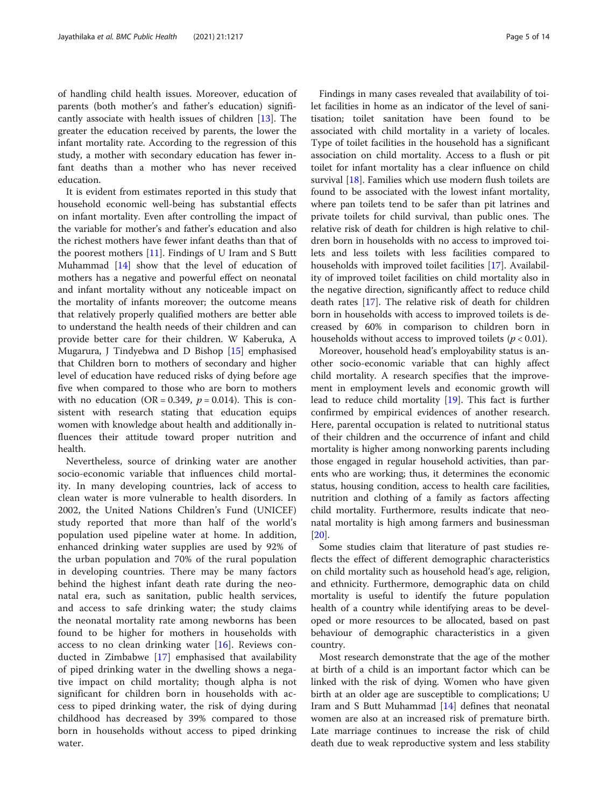of handling child health issues. Moreover, education of parents (both mother's and father's education) significantly associate with health issues of children [\[13](#page-12-0)]. The greater the education received by parents, the lower the infant mortality rate. According to the regression of this study, a mother with secondary education has fewer infant deaths than a mother who has never received education.

It is evident from estimates reported in this study that household economic well-being has substantial effects on infant mortality. Even after controlling the impact of the variable for mother's and father's education and also the richest mothers have fewer infant deaths than that of the poorest mothers [\[11](#page-12-0)]. Findings of U Iram and S Butt Muhammad [\[14](#page-12-0)] show that the level of education of mothers has a negative and powerful effect on neonatal and infant mortality without any noticeable impact on the mortality of infants moreover; the outcome means that relatively properly qualified mothers are better able to understand the health needs of their children and can provide better care for their children. W Kaberuka, A Mugarura, J Tindyebwa and D Bishop [\[15\]](#page-12-0) emphasised that Children born to mothers of secondary and higher level of education have reduced risks of dying before age five when compared to those who are born to mothers with no education (OR = 0.349,  $p = 0.014$ ). This is consistent with research stating that education equips women with knowledge about health and additionally influences their attitude toward proper nutrition and health.

Nevertheless, source of drinking water are another socio-economic variable that influences child mortality. In many developing countries, lack of access to clean water is more vulnerable to health disorders. In 2002, the United Nations Children's Fund (UNICEF) study reported that more than half of the world's population used pipeline water at home. In addition, enhanced drinking water supplies are used by 92% of the urban population and 70% of the rural population in developing countries. There may be many factors behind the highest infant death rate during the neonatal era, such as sanitation, public health services, and access to safe drinking water; the study claims the neonatal mortality rate among newborns has been found to be higher for mothers in households with access to no clean drinking water [[16](#page-12-0)]. Reviews conducted in Zimbabwe [\[17](#page-12-0)] emphasised that availability of piped drinking water in the dwelling shows a negative impact on child mortality; though alpha is not significant for children born in households with access to piped drinking water, the risk of dying during childhood has decreased by 39% compared to those born in households without access to piped drinking water.

Findings in many cases revealed that availability of toilet facilities in home as an indicator of the level of sanitisation; toilet sanitation have been found to be associated with child mortality in a variety of locales. Type of toilet facilities in the household has a significant association on child mortality. Access to a flush or pit toilet for infant mortality has a clear influence on child survival [\[18\]](#page-12-0). Families which use modern flush toilets are found to be associated with the lowest infant mortality, where pan toilets tend to be safer than pit latrines and private toilets for child survival, than public ones. The relative risk of death for children is high relative to children born in households with no access to improved toilets and less toilets with less facilities compared to households with improved toilet facilities [\[17\]](#page-12-0). Availability of improved toilet facilities on child mortality also in the negative direction, significantly affect to reduce child death rates [\[17\]](#page-12-0). The relative risk of death for children born in households with access to improved toilets is decreased by 60% in comparison to children born in households without access to improved toilets ( $p < 0.01$ ).

Moreover, household head's employability status is another socio-economic variable that can highly affect child mortality. A research specifies that the improvement in employment levels and economic growth will lead to reduce child mortality [[19](#page-12-0)]. This fact is further confirmed by empirical evidences of another research. Here, parental occupation is related to nutritional status of their children and the occurrence of infant and child mortality is higher among nonworking parents including those engaged in regular household activities, than parents who are working; thus, it determines the economic status, housing condition, access to health care facilities, nutrition and clothing of a family as factors affecting child mortality. Furthermore, results indicate that neonatal mortality is high among farmers and businessman [[20\]](#page-12-0).

Some studies claim that literature of past studies reflects the effect of different demographic characteristics on child mortality such as household head's age, religion, and ethnicity. Furthermore, demographic data on child mortality is useful to identify the future population health of a country while identifying areas to be developed or more resources to be allocated, based on past behaviour of demographic characteristics in a given country.

Most research demonstrate that the age of the mother at birth of a child is an important factor which can be linked with the risk of dying. Women who have given birth at an older age are susceptible to complications; U Iram and S Butt Muhammad [\[14](#page-12-0)] defines that neonatal women are also at an increased risk of premature birth. Late marriage continues to increase the risk of child death due to weak reproductive system and less stability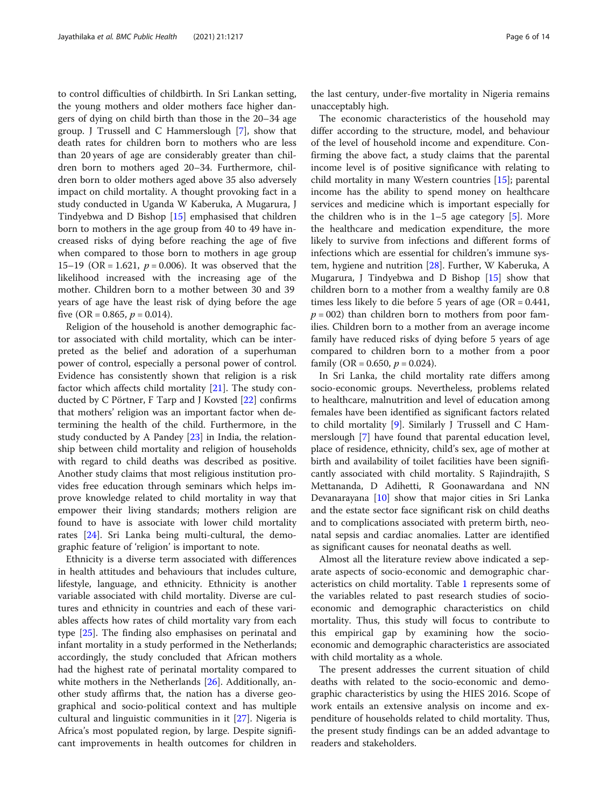to control difficulties of childbirth. In Sri Lankan setting, the young mothers and older mothers face higher dangers of dying on child birth than those in the 20–34 age group. J Trussell and C Hammerslough [\[7\]](#page-12-0), show that death rates for children born to mothers who are less than 20 years of age are considerably greater than children born to mothers aged 20–34. Furthermore, children born to older mothers aged above 35 also adversely impact on child mortality. A thought provoking fact in a study conducted in Uganda W Kaberuka, A Mugarura, J Tindyebwa and D Bishop [[15](#page-12-0)] emphasised that children born to mothers in the age group from 40 to 49 have increased risks of dying before reaching the age of five when compared to those born to mothers in age group 15–19 (OR = 1.621,  $p = 0.006$ ). It was observed that the likelihood increased with the increasing age of the mother. Children born to a mother between 30 and 39 years of age have the least risk of dying before the age five (OR = 0.865,  $p = 0.014$ ).

Religion of the household is another demographic factor associated with child mortality, which can be interpreted as the belief and adoration of a superhuman power of control, especially a personal power of control. Evidence has consistently shown that religion is a risk factor which affects child mortality [\[21](#page-12-0)]. The study conducted by C Pörtner, F Tarp and J Kovsted [[22](#page-12-0)] confirms that mothers' religion was an important factor when determining the health of the child. Furthermore, in the study conducted by A Pandey [\[23\]](#page-12-0) in India, the relationship between child mortality and religion of households with regard to child deaths was described as positive. Another study claims that most religious institution provides free education through seminars which helps improve knowledge related to child mortality in way that empower their living standards; mothers religion are found to have is associate with lower child mortality rates [[24\]](#page-12-0). Sri Lanka being multi-cultural, the demographic feature of 'religion' is important to note.

Ethnicity is a diverse term associated with differences in health attitudes and behaviours that includes culture, lifestyle, language, and ethnicity. Ethnicity is another variable associated with child mortality. Diverse are cultures and ethnicity in countries and each of these variables affects how rates of child mortality vary from each type [[25\]](#page-13-0). The finding also emphasises on perinatal and infant mortality in a study performed in the Netherlands; accordingly, the study concluded that African mothers had the highest rate of perinatal mortality compared to white mothers in the Netherlands [\[26\]](#page-13-0). Additionally, another study affirms that, the nation has a diverse geographical and socio-political context and has multiple cultural and linguistic communities in it [[27\]](#page-13-0). Nigeria is Africa's most populated region, by large. Despite significant improvements in health outcomes for children in the last century, under-five mortality in Nigeria remains unacceptably high.

The economic characteristics of the household may differ according to the structure, model, and behaviour of the level of household income and expenditure. Confirming the above fact, a study claims that the parental income level is of positive significance with relating to child mortality in many Western countries [\[15\]](#page-12-0); parental income has the ability to spend money on healthcare services and medicine which is important especially for the children who is in the  $1-5$  age category  $[5]$  $[5]$ . More the healthcare and medication expenditure, the more likely to survive from infections and different forms of infections which are essential for children's immune system, hygiene and nutrition [[28](#page-13-0)]. Further, W Kaberuka, A Mugarura, J Tindyebwa and D Bishop [\[15](#page-12-0)] show that children born to a mother from a wealthy family are 0.8 times less likely to die before 5 years of age (OR = 0.441,  $p = 002$ ) than children born to mothers from poor families. Children born to a mother from an average income family have reduced risks of dying before 5 years of age compared to children born to a mother from a poor family (OR = 0.650,  $p = 0.024$ ).

In Sri Lanka, the child mortality rate differs among socio-economic groups. Nevertheless, problems related to healthcare, malnutrition and level of education among females have been identified as significant factors related to child mortality [\[9](#page-12-0)]. Similarly J Trussell and C Hammerslough [[7\]](#page-12-0) have found that parental education level, place of residence, ethnicity, child's sex, age of mother at birth and availability of toilet facilities have been significantly associated with child mortality. S Rajindrajith, S Mettananda, D Adihetti, R Goonawardana and NN Devanarayana [\[10](#page-12-0)] show that major cities in Sri Lanka and the estate sector face significant risk on child deaths and to complications associated with preterm birth, neonatal sepsis and cardiac anomalies. Latter are identified as significant causes for neonatal deaths as well.

Almost all the literature review above indicated a separate aspects of socio-economic and demographic characteristics on child mortality. Table [1](#page-6-0) represents some of the variables related to past research studies of socioeconomic and demographic characteristics on child mortality. Thus, this study will focus to contribute to this empirical gap by examining how the socioeconomic and demographic characteristics are associated with child mortality as a whole.

The present addresses the current situation of child deaths with related to the socio-economic and demographic characteristics by using the HIES 2016. Scope of work entails an extensive analysis on income and expenditure of households related to child mortality. Thus, the present study findings can be an added advantage to readers and stakeholders.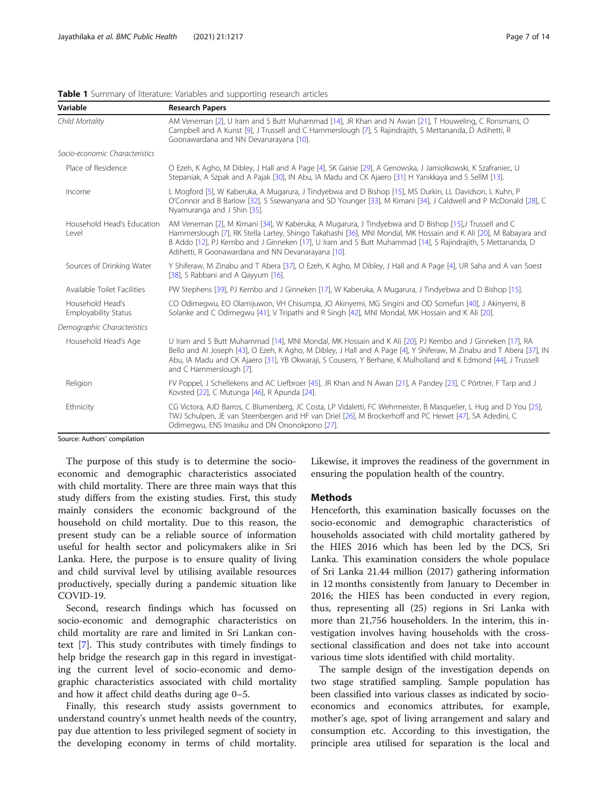|  | Page 7 of 14 |  |  |  |  |  |
|--|--------------|--|--|--|--|--|
|--|--------------|--|--|--|--|--|

| Variable                                        | <b>Research Papers</b>                                                                                                                                                                                                                                                                                                                                                                          |
|-------------------------------------------------|-------------------------------------------------------------------------------------------------------------------------------------------------------------------------------------------------------------------------------------------------------------------------------------------------------------------------------------------------------------------------------------------------|
| Child Mortality                                 | AM Veneman [2], U Iram and S Butt Muhammad [14], JR Khan and N Awan [21], T Houweling, C Ronsmans, O<br>Campbell and A Kunst [9], J Trussell and C Hammerslough [7], S Rajindrajith, S Mettananda, D Adihetti, R<br>Goonawardana and NN Devanarayana [10].                                                                                                                                      |
| Socio-economic Characteristics                  |                                                                                                                                                                                                                                                                                                                                                                                                 |
| Place of Residence                              | O Ezeh, K Agho, M Dibley, J Hall and A Page [4], SK Gaisie [29], A Genowska, J Jamiolkowski, K Szafraniec, U<br>Stepaniak, A Szpak and A Pajak [30], IN Abu, IA Madu and CK Ajaero [31] H Yanıkkaya and S SelİM [13].                                                                                                                                                                           |
| Income                                          | L Mogford [5], W Kaberuka, A Mugarura, J Tindyebwa and D Bishop [15], MS Durkin, LL Davidson, L Kuhn, P<br>O'Connor and B Barlow [32], S Ssewanyana and SD Younger [33], M Kimani [34], J Caldwell and P McDonald [28], C<br>Nyamuranga and J Shin [35].                                                                                                                                        |
| Household Head's Education<br>Level             | AM Veneman [2], M Kimani [34], W Kaberuka, A Mugarura, J Tindyebwa and D Bishop [15], J Trussell and C<br>Hammerslough [7], RK Stella Lartey, Shingo Takahashi [36], MNI Mondal, MK Hossain and K Ali [20], M Babayara and<br>B Addo [12], PJ Kembo and J Ginneken [17], U Iram and S Butt Muhammad [14], S Rajindrajith, S Mettananda, D<br>Adihetti, R Goonawardana and NN Devanarayana [10]. |
| Sources of Drinking Water                       | Y Shiferaw, M Zinabu and T Abera [37], O Ezeh, K Agho, M Dibley, J Hall and A Page [4], UR Saha and A van Soest<br>[38], S Rabbani and A Qayyum [16].                                                                                                                                                                                                                                           |
| Available Toilet Facilities                     | PW Stephens [39], PJ Kembo and J Ginneken [17], W Kaberuka, A Mugarura, J Tindyebwa and D Bishop [15].                                                                                                                                                                                                                                                                                          |
| Household Head's<br><b>Employability Status</b> | CO Odimegwu, EO Olamijuwon, VH Chisumpa, JO Akinyemi, MG Singini and OD Somefun [40], J Akinyemi, B<br>Solanke and C Odimegwu [41], V Tripathi and R Singh [42], MNI Mondal, MK Hossain and K Ali [20].                                                                                                                                                                                         |
| Demographic Characteristics                     |                                                                                                                                                                                                                                                                                                                                                                                                 |
| Household Head's Age                            | U Iram and S Butt Muhammad [14], MNI Mondal, MK Hossain and K Ali [20], PJ Kembo and J Ginneken [17], RA<br>Bello and AI Joseph [43], O Ezeh, K Agho, M Dibley, J Hall and A Page [4], Y Shiferaw, M Zinabu and T Abera [37], IN<br>Abu, IA Madu and CK Ajaero [31], YB Okwaraji, S Cousens, Y Berhane, K Mulholland and K Edmond [44], J Trussell<br>and C Hammerslough [7].                   |
| Religion                                        | FV Poppel, J Schellekens and AC Liefbroer [45], JR Khan and N Awan [21], A Pandey [23], C Pörtner, F Tarp and J<br>Kovsted [22], C Mutunga [46], R Apunda [24].                                                                                                                                                                                                                                 |
| Ethnicity                                       | CG Victora, AJD Barros, C Blumenberg, JC Costa, LP Vidaletti, FC Wehrmeister, B Masquelier, L Hug and D You [25],<br>TWJ Schulpen, JE van Steenbergen and HF van Driel [26], M Brockerhoff and PC Hewet [47], SA Adedini, C<br>Odimegwu, ENS Imasiku and DN Ononokpono [27].                                                                                                                    |

#### <span id="page-6-0"></span>Table 1 Summary of literature: Variables and supporting research articles

Source: Authors' compilation

The purpose of this study is to determine the socioeconomic and demographic characteristics associated with child mortality. There are three main ways that this study differs from the existing studies. First, this study mainly considers the economic background of the household on child mortality. Due to this reason, the present study can be a reliable source of information useful for health sector and policymakers alike in Sri Lanka. Here, the purpose is to ensure quality of living and child survival level by utilising available resources productively, specially during a pandemic situation like COVID-19.

Second, research findings which has focussed on socio-economic and demographic characteristics on child mortality are rare and limited in Sri Lankan context [[7\]](#page-12-0). This study contributes with timely findings to help bridge the research gap in this regard in investigating the current level of socio-economic and demographic characteristics associated with child mortality and how it affect child deaths during age 0–5.

Finally, this research study assists government to understand country's unmet health needs of the country, pay due attention to less privileged segment of society in the developing economy in terms of child mortality. Likewise, it improves the readiness of the government in ensuring the population health of the country.

### **Methods**

Henceforth, this examination basically focusses on the socio-economic and demographic characteristics of households associated with child mortality gathered by the HIES 2016 which has been led by the DCS, Sri Lanka. This examination considers the whole populace of Sri Lanka 21.44 million (2017) gathering information in 12 months consistently from January to December in 2016; the HIES has been conducted in every region, thus, representing all (25) regions in Sri Lanka with more than 21,756 householders. In the interim, this investigation involves having households with the crosssectional classification and does not take into account various time slots identified with child mortality.

The sample design of the investigation depends on two stage stratified sampling. Sample population has been classified into various classes as indicated by socioeconomics and economics attributes, for example, mother's age, spot of living arrangement and salary and consumption etc. According to this investigation, the principle area utilised for separation is the local and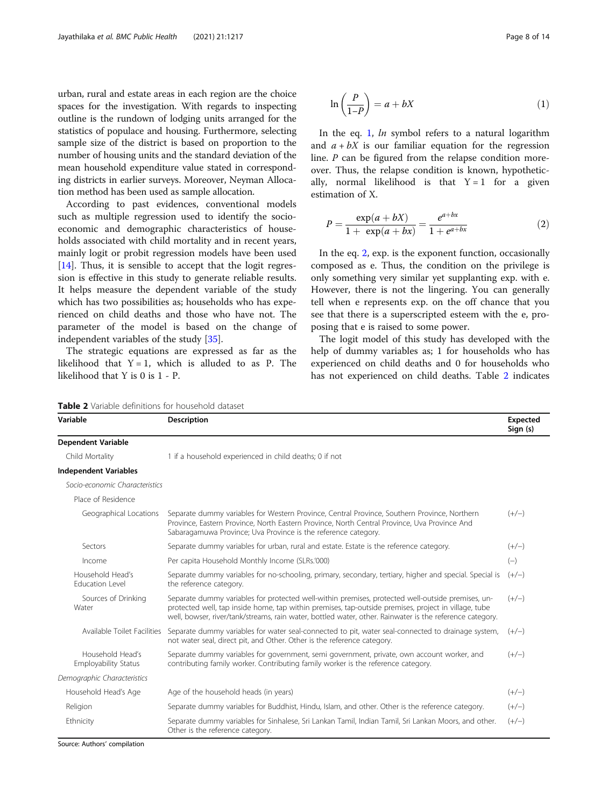urban, rural and estate areas in each region are the choice spaces for the investigation. With regards to inspecting outline is the rundown of lodging units arranged for the statistics of populace and housing. Furthermore, selecting sample size of the district is based on proportion to the number of housing units and the standard deviation of the mean household expenditure value stated in corresponding districts in earlier surveys. Moreover, Neyman Allocation method has been used as sample allocation.

According to past evidences, conventional models such as multiple regression used to identify the socioeconomic and demographic characteristics of households associated with child mortality and in recent years, mainly logit or probit regression models have been used [[14\]](#page-12-0). Thus, it is sensible to accept that the logit regression is effective in this study to generate reliable results. It helps measure the dependent variable of the study which has two possibilities as; households who has experienced on child deaths and those who have not. The parameter of the model is based on the change of independent variables of the study [[35](#page-13-0)].

The strategic equations are expressed as far as the likelihood that  $Y = 1$ , which is alluded to as P. The likelihood that Y is 0 is 1 - P.

$$
\ln\left(\frac{P}{1-P}\right) = a + bX\tag{1}
$$

In the eq. 1,  $ln$  symbol refers to a natural logarithm and  $a + bX$  is our familiar equation for the regression line. P can be figured from the relapse condition moreover. Thus, the relapse condition is known, hypothetically, normal likelihood is that  $Y = 1$  for a given estimation of X.

$$
P = \frac{\exp(a + bX)}{1 + \exp(a + bx)} = \frac{e^{a + bx}}{1 + e^{a + bx}}
$$
 (2)

In the eq. 2, exp. is the exponent function, occasionally composed as e. Thus, the condition on the privilege is only something very similar yet supplanting exp. with e. However, there is not the lingering. You can generally tell when e represents exp. on the off chance that you see that there is a superscripted esteem with the e, proposing that e is raised to some power.

The logit model of this study has developed with the help of dummy variables as; 1 for households who has experienced on child deaths and 0 for households who has not experienced on child deaths. Table 2 indicates

Table 2 Variable definitions for household dataset

| Variable                                        | <b>Description</b>                                                                                                                                                                                                                                                                                                    | Expected<br>Sign (s) |
|-------------------------------------------------|-----------------------------------------------------------------------------------------------------------------------------------------------------------------------------------------------------------------------------------------------------------------------------------------------------------------------|----------------------|
| <b>Dependent Variable</b>                       |                                                                                                                                                                                                                                                                                                                       |                      |
| Child Mortality                                 | 1 if a household experienced in child deaths; 0 if not                                                                                                                                                                                                                                                                |                      |
| <b>Independent Variables</b>                    |                                                                                                                                                                                                                                                                                                                       |                      |
| Socio-economic Characteristics                  |                                                                                                                                                                                                                                                                                                                       |                      |
| Place of Residence                              |                                                                                                                                                                                                                                                                                                                       |                      |
| Geographical Locations                          | Separate dummy variables for Western Province, Central Province, Southern Province, Northern<br>Province, Eastern Province, North Eastern Province, North Central Province, Uva Province And<br>Sabaragamuwa Province; Uva Province is the reference category.                                                        | $(+/-)$              |
| Sectors                                         | Separate dummy variables for urban, rural and estate. Estate is the reference category.                                                                                                                                                                                                                               | $(+/-)$              |
| Income                                          | Per capita Household Monthly Income (SLRs.'000)                                                                                                                                                                                                                                                                       | $(-)$                |
| Household Head's<br><b>Education Level</b>      | Separate dummy variables for no-schooling, primary, secondary, tertiary, higher and special. Special is<br>the reference category.                                                                                                                                                                                    | $(+/-)$              |
| Sources of Drinking<br>Water                    | Separate dummy variables for protected well-within premises, protected well-outside premises, un-<br>protected well, tap inside home, tap within premises, tap-outside premises, project in village, tube<br>well, bowser, river/tank/streams, rain water, bottled water, other. Rainwater is the reference category. | $(+/-)$              |
| Available Toilet Facilities                     | Separate dummy variables for water seal-connected to pit, water seal-connected to drainage system,<br>not water seal, direct pit, and Other. Other is the reference category.                                                                                                                                         | $(+/-)$              |
| Household Head's<br><b>Employability Status</b> | Separate dummy variables for government, semi government, private, own account worker, and<br>contributing family worker. Contributing family worker is the reference category.                                                                                                                                       | $(+/-)$              |
| Demographic Characteristics                     |                                                                                                                                                                                                                                                                                                                       |                      |
| Household Head's Age                            | Age of the household heads (in years)                                                                                                                                                                                                                                                                                 | $(+/-)$              |
| Religion                                        | Separate dummy variables for Buddhist, Hindu, Islam, and other. Other is the reference category.                                                                                                                                                                                                                      | $(+/-)$              |
| Ethnicity                                       | Separate dummy variables for Sinhalese, Sri Lankan Tamil, Indian Tamil, Sri Lankan Moors, and other.<br>Other is the reference category.                                                                                                                                                                              | $(+/-)$              |

Source: Authors' compilation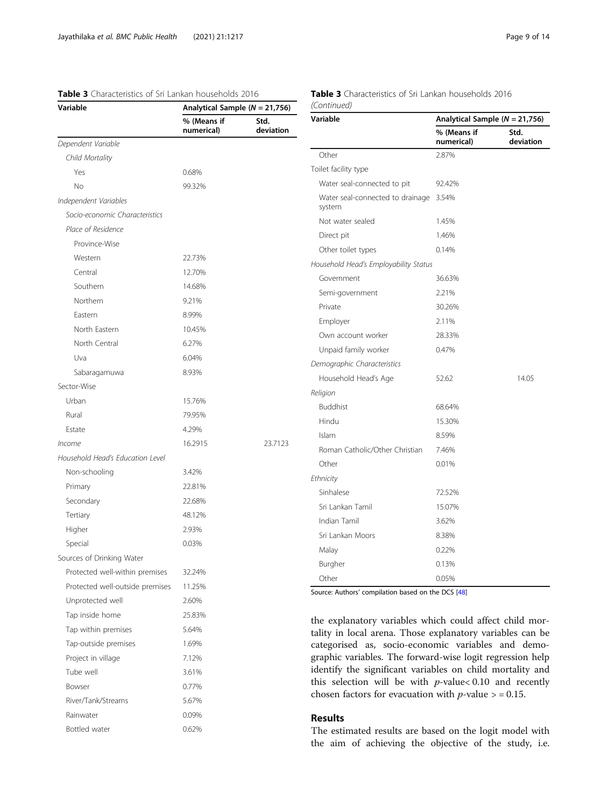# <span id="page-8-0"></span>Table 3 Characteristics of Sri Lankan households 2016

# Table 3 Characteristics of Sri Lankan households 2016 (Continued)

| Variable                         | Analytical Sample ( $N = 21,756$ ) |                   |
|----------------------------------|------------------------------------|-------------------|
|                                  | % (Means if<br>numerical)          | Std.<br>deviation |
| Dependent Variable               |                                    |                   |
| Child Mortality                  |                                    |                   |
| Yes                              | 0.68%                              |                   |
| No                               | 99.32%                             |                   |
| Independent Variables            |                                    |                   |
| Socio-economic Characteristics   |                                    |                   |
| Place of Residence               |                                    |                   |
| Province-Wise                    |                                    |                   |
| Western                          | 22.73%                             |                   |
| Central                          | 12.70%                             |                   |
| Southern                         | 14.68%                             |                   |
| Northern                         | 9.21%                              |                   |
| Eastern                          | 8.99%                              |                   |
| North Eastern                    | 10.45%                             |                   |
| North Central                    | 6.27%                              |                   |
| Uva                              | 6.04%                              |                   |
| Sabaragamuwa                     | 8.93%                              |                   |
| Sector-Wise                      |                                    |                   |
| Urban                            | 15.76%                             |                   |
| Rural                            | 79.95%                             |                   |
| Estate                           | 4.29%                              |                   |
| Income                           | 16.2915                            | 23.7123           |
| Household Head's Education Level |                                    |                   |
| Non-schooling                    | 3.42%                              |                   |
| Primary                          | 22.81%                             |                   |
| Secondary                        | 22.68%                             |                   |
| Tertiary                         | 48.12%                             |                   |
| Higher                           | 2.93%                              |                   |
| Special                          | 0.03%                              |                   |
| Sources of Drinking Water        |                                    |                   |
| Protected well-within premises   | 32.24%                             |                   |
| Protected well-outside premises  | 11.25%                             |                   |
| Unprotected well                 | 2.60%                              |                   |
| Tap inside home                  | 25.83%                             |                   |
| Tap within premises              | 5.64%                              |                   |
| Tap-outside premises             | 1.69%                              |                   |
| Project in village               | 7.12%                              |                   |
| Tube well                        | 3.61%                              |                   |
| Bowser                           | 0.77%                              |                   |
| River/Tank/Streams               | 5.67%                              |                   |
| Rainwater                        | 0.09%                              |                   |
| Bottled water                    | 0.62%                              |                   |
|                                  |                                    |                   |

| Variable                                   | Analytical Sample ( $N = 21,756$ ) |                   |  |
|--------------------------------------------|------------------------------------|-------------------|--|
|                                            | % (Means if<br>numerical)          | Std.<br>deviation |  |
| Other                                      | 2.87%                              |                   |  |
| Toilet facility type                       |                                    |                   |  |
| Water seal-connected to pit                | 92.42%                             |                   |  |
| Water seal-connected to drainage<br>system | 3.54%                              |                   |  |
| Not water sealed                           | 1.45%                              |                   |  |
| Direct pit                                 | 1.46%                              |                   |  |
| Other toilet types                         | 0.14%                              |                   |  |
| Household Head's Employability Status      |                                    |                   |  |
| Government                                 | 36.63%                             |                   |  |
| Semi-government                            | 2.21%                              |                   |  |
| Private                                    | 30.26%                             |                   |  |
| Employer                                   | 2.11%                              |                   |  |
| Own account worker                         | 28.33%                             |                   |  |
| Unpaid family worker                       | 0.47%                              |                   |  |
| Demographic Characteristics                |                                    |                   |  |
| Household Head's Age                       | 52.62                              | 14.05             |  |
| Religion                                   |                                    |                   |  |
| <b>Buddhist</b>                            | 68.64%                             |                   |  |
| Hindu                                      | 15.30%                             |                   |  |
| Islam                                      | 8.59%                              |                   |  |
| Roman Catholic/Other Christian             | 7.46%                              |                   |  |
| Other                                      | 0.01%                              |                   |  |
| Ethnicity                                  |                                    |                   |  |
| Sinhalese                                  | 72.52%                             |                   |  |
| Sri Lankan Tamil                           | 15.07%                             |                   |  |
| Indian Tamil                               | 3.62%                              |                   |  |
| Sri Lankan Moors                           | 8.38%                              |                   |  |
| Malay                                      | 0.22%                              |                   |  |
| Burgher                                    | 0.13%                              |                   |  |
| Other                                      | 0.05%                              |                   |  |

Source: Authors' compilation based on the DCS [[48](#page-13-0)]

the explanatory variables which could affect child mortality in local arena. Those explanatory variables can be categorised as, socio-economic variables and demographic variables. The forward-wise logit regression help identify the significant variables on child mortality and this selection will be with  $p$ -value< 0.10 and recently chosen factors for evacuation with  $p$ -value  $>$  = 0.15.

# Results

The estimated results are based on the logit model with the aim of achieving the objective of the study, i.e.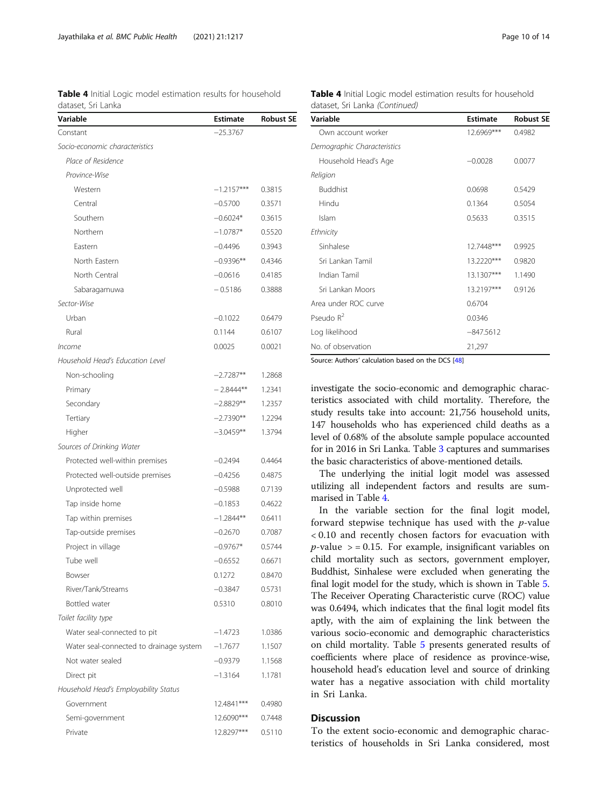Table 4 Initial Logic model estimation results for household dataset, Sri Lanka

| $-25.3767$<br>Constant<br>Socio-economic characteristics<br>Place of Residence<br>Province-Wise<br>Western<br>$-1.2157***$<br>0.3815<br>Central<br>$-0.5700$<br>0.3571<br>Southern<br>$-0.6024*$<br>0.3615<br>Northern<br>$-1.0787*$<br>0.5520<br>Eastern<br>$-0.4496$<br>0.3943<br>North Eastern<br>$-0.9396**$<br>0.4346<br>North Central<br>$-0.0616$<br>0.4185<br>$-0.5186$<br>Sabaragamuwa<br>0.3888<br>Sector-Wise<br>Urban<br>$-0.1022$<br>0.6479<br>Rural<br>0.1144<br>0.6107<br>0.0025<br>0.0021<br>Income<br>Household Head's Education Level<br>Non-schooling<br>$-2.7287**$<br>1.2868<br>$-2.8444***$<br>1.2341<br>Primary<br>Secondary<br>$-2.8829**$<br>1.2357<br>Tertiary<br>$-2.7390**$<br>1.2294<br>1.3794<br>Higher<br>$-3.0459**$<br>Sources of Drinking Water<br>Protected well-within premises<br>$-0.2494$<br>0.4464<br>Protected well-outside premises<br>$-0.4256$<br>0.4875<br>Unprotected well<br>$-0.5988$<br>0.7139<br>$-0.1853$<br>0.4622<br>Tap inside home<br>$-1.2844**$<br>0.6411<br>Tap within premises<br>Tap-outside premises<br>$-0.2670$<br>0.7087<br>Project in village<br>$-0.9767*$<br>0.5744<br>Tube well<br>$-0.6552$<br>0.6671<br>Bowser<br>0.1272<br>0.8470<br>River/Tank/Streams<br>$-0.3847$<br>0.5731<br>Bottled water<br>0.5310<br>0.8010<br>Toilet facility type<br>Water seal-connected to pit<br>$-1.4723$<br>1.0386<br>Water seal-connected to drainage system<br>$-1.7677$<br>1.1507<br>Not water sealed<br>$-0.9379$<br>1.1568<br>Direct pit<br>$-1.3164$<br>1.1781<br>Household Head's Employability Status<br>Government<br>12.4841***<br>0.4980<br>0.7448<br>Semi-government<br>12.6090***<br>0.5110<br>Private<br>12.8297*** | Variable | <b>Estimate</b> | <b>Robust SE</b> |
|-----------------------------------------------------------------------------------------------------------------------------------------------------------------------------------------------------------------------------------------------------------------------------------------------------------------------------------------------------------------------------------------------------------------------------------------------------------------------------------------------------------------------------------------------------------------------------------------------------------------------------------------------------------------------------------------------------------------------------------------------------------------------------------------------------------------------------------------------------------------------------------------------------------------------------------------------------------------------------------------------------------------------------------------------------------------------------------------------------------------------------------------------------------------------------------------------------------------------------------------------------------------------------------------------------------------------------------------------------------------------------------------------------------------------------------------------------------------------------------------------------------------------------------------------------------------------------------------------------------------------------------------------------------------------------------------|----------|-----------------|------------------|
|                                                                                                                                                                                                                                                                                                                                                                                                                                                                                                                                                                                                                                                                                                                                                                                                                                                                                                                                                                                                                                                                                                                                                                                                                                                                                                                                                                                                                                                                                                                                                                                                                                                                                         |          |                 |                  |
|                                                                                                                                                                                                                                                                                                                                                                                                                                                                                                                                                                                                                                                                                                                                                                                                                                                                                                                                                                                                                                                                                                                                                                                                                                                                                                                                                                                                                                                                                                                                                                                                                                                                                         |          |                 |                  |
|                                                                                                                                                                                                                                                                                                                                                                                                                                                                                                                                                                                                                                                                                                                                                                                                                                                                                                                                                                                                                                                                                                                                                                                                                                                                                                                                                                                                                                                                                                                                                                                                                                                                                         |          |                 |                  |
|                                                                                                                                                                                                                                                                                                                                                                                                                                                                                                                                                                                                                                                                                                                                                                                                                                                                                                                                                                                                                                                                                                                                                                                                                                                                                                                                                                                                                                                                                                                                                                                                                                                                                         |          |                 |                  |
|                                                                                                                                                                                                                                                                                                                                                                                                                                                                                                                                                                                                                                                                                                                                                                                                                                                                                                                                                                                                                                                                                                                                                                                                                                                                                                                                                                                                                                                                                                                                                                                                                                                                                         |          |                 |                  |
|                                                                                                                                                                                                                                                                                                                                                                                                                                                                                                                                                                                                                                                                                                                                                                                                                                                                                                                                                                                                                                                                                                                                                                                                                                                                                                                                                                                                                                                                                                                                                                                                                                                                                         |          |                 |                  |
|                                                                                                                                                                                                                                                                                                                                                                                                                                                                                                                                                                                                                                                                                                                                                                                                                                                                                                                                                                                                                                                                                                                                                                                                                                                                                                                                                                                                                                                                                                                                                                                                                                                                                         |          |                 |                  |
|                                                                                                                                                                                                                                                                                                                                                                                                                                                                                                                                                                                                                                                                                                                                                                                                                                                                                                                                                                                                                                                                                                                                                                                                                                                                                                                                                                                                                                                                                                                                                                                                                                                                                         |          |                 |                  |
|                                                                                                                                                                                                                                                                                                                                                                                                                                                                                                                                                                                                                                                                                                                                                                                                                                                                                                                                                                                                                                                                                                                                                                                                                                                                                                                                                                                                                                                                                                                                                                                                                                                                                         |          |                 |                  |
|                                                                                                                                                                                                                                                                                                                                                                                                                                                                                                                                                                                                                                                                                                                                                                                                                                                                                                                                                                                                                                                                                                                                                                                                                                                                                                                                                                                                                                                                                                                                                                                                                                                                                         |          |                 |                  |
|                                                                                                                                                                                                                                                                                                                                                                                                                                                                                                                                                                                                                                                                                                                                                                                                                                                                                                                                                                                                                                                                                                                                                                                                                                                                                                                                                                                                                                                                                                                                                                                                                                                                                         |          |                 |                  |
|                                                                                                                                                                                                                                                                                                                                                                                                                                                                                                                                                                                                                                                                                                                                                                                                                                                                                                                                                                                                                                                                                                                                                                                                                                                                                                                                                                                                                                                                                                                                                                                                                                                                                         |          |                 |                  |
|                                                                                                                                                                                                                                                                                                                                                                                                                                                                                                                                                                                                                                                                                                                                                                                                                                                                                                                                                                                                                                                                                                                                                                                                                                                                                                                                                                                                                                                                                                                                                                                                                                                                                         |          |                 |                  |
|                                                                                                                                                                                                                                                                                                                                                                                                                                                                                                                                                                                                                                                                                                                                                                                                                                                                                                                                                                                                                                                                                                                                                                                                                                                                                                                                                                                                                                                                                                                                                                                                                                                                                         |          |                 |                  |
|                                                                                                                                                                                                                                                                                                                                                                                                                                                                                                                                                                                                                                                                                                                                                                                                                                                                                                                                                                                                                                                                                                                                                                                                                                                                                                                                                                                                                                                                                                                                                                                                                                                                                         |          |                 |                  |
|                                                                                                                                                                                                                                                                                                                                                                                                                                                                                                                                                                                                                                                                                                                                                                                                                                                                                                                                                                                                                                                                                                                                                                                                                                                                                                                                                                                                                                                                                                                                                                                                                                                                                         |          |                 |                  |
|                                                                                                                                                                                                                                                                                                                                                                                                                                                                                                                                                                                                                                                                                                                                                                                                                                                                                                                                                                                                                                                                                                                                                                                                                                                                                                                                                                                                                                                                                                                                                                                                                                                                                         |          |                 |                  |
|                                                                                                                                                                                                                                                                                                                                                                                                                                                                                                                                                                                                                                                                                                                                                                                                                                                                                                                                                                                                                                                                                                                                                                                                                                                                                                                                                                                                                                                                                                                                                                                                                                                                                         |          |                 |                  |
|                                                                                                                                                                                                                                                                                                                                                                                                                                                                                                                                                                                                                                                                                                                                                                                                                                                                                                                                                                                                                                                                                                                                                                                                                                                                                                                                                                                                                                                                                                                                                                                                                                                                                         |          |                 |                  |
|                                                                                                                                                                                                                                                                                                                                                                                                                                                                                                                                                                                                                                                                                                                                                                                                                                                                                                                                                                                                                                                                                                                                                                                                                                                                                                                                                                                                                                                                                                                                                                                                                                                                                         |          |                 |                  |
|                                                                                                                                                                                                                                                                                                                                                                                                                                                                                                                                                                                                                                                                                                                                                                                                                                                                                                                                                                                                                                                                                                                                                                                                                                                                                                                                                                                                                                                                                                                                                                                                                                                                                         |          |                 |                  |
|                                                                                                                                                                                                                                                                                                                                                                                                                                                                                                                                                                                                                                                                                                                                                                                                                                                                                                                                                                                                                                                                                                                                                                                                                                                                                                                                                                                                                                                                                                                                                                                                                                                                                         |          |                 |                  |
|                                                                                                                                                                                                                                                                                                                                                                                                                                                                                                                                                                                                                                                                                                                                                                                                                                                                                                                                                                                                                                                                                                                                                                                                                                                                                                                                                                                                                                                                                                                                                                                                                                                                                         |          |                 |                  |
|                                                                                                                                                                                                                                                                                                                                                                                                                                                                                                                                                                                                                                                                                                                                                                                                                                                                                                                                                                                                                                                                                                                                                                                                                                                                                                                                                                                                                                                                                                                                                                                                                                                                                         |          |                 |                  |
|                                                                                                                                                                                                                                                                                                                                                                                                                                                                                                                                                                                                                                                                                                                                                                                                                                                                                                                                                                                                                                                                                                                                                                                                                                                                                                                                                                                                                                                                                                                                                                                                                                                                                         |          |                 |                  |
|                                                                                                                                                                                                                                                                                                                                                                                                                                                                                                                                                                                                                                                                                                                                                                                                                                                                                                                                                                                                                                                                                                                                                                                                                                                                                                                                                                                                                                                                                                                                                                                                                                                                                         |          |                 |                  |
|                                                                                                                                                                                                                                                                                                                                                                                                                                                                                                                                                                                                                                                                                                                                                                                                                                                                                                                                                                                                                                                                                                                                                                                                                                                                                                                                                                                                                                                                                                                                                                                                                                                                                         |          |                 |                  |
|                                                                                                                                                                                                                                                                                                                                                                                                                                                                                                                                                                                                                                                                                                                                                                                                                                                                                                                                                                                                                                                                                                                                                                                                                                                                                                                                                                                                                                                                                                                                                                                                                                                                                         |          |                 |                  |
|                                                                                                                                                                                                                                                                                                                                                                                                                                                                                                                                                                                                                                                                                                                                                                                                                                                                                                                                                                                                                                                                                                                                                                                                                                                                                                                                                                                                                                                                                                                                                                                                                                                                                         |          |                 |                  |
|                                                                                                                                                                                                                                                                                                                                                                                                                                                                                                                                                                                                                                                                                                                                                                                                                                                                                                                                                                                                                                                                                                                                                                                                                                                                                                                                                                                                                                                                                                                                                                                                                                                                                         |          |                 |                  |
|                                                                                                                                                                                                                                                                                                                                                                                                                                                                                                                                                                                                                                                                                                                                                                                                                                                                                                                                                                                                                                                                                                                                                                                                                                                                                                                                                                                                                                                                                                                                                                                                                                                                                         |          |                 |                  |
|                                                                                                                                                                                                                                                                                                                                                                                                                                                                                                                                                                                                                                                                                                                                                                                                                                                                                                                                                                                                                                                                                                                                                                                                                                                                                                                                                                                                                                                                                                                                                                                                                                                                                         |          |                 |                  |
|                                                                                                                                                                                                                                                                                                                                                                                                                                                                                                                                                                                                                                                                                                                                                                                                                                                                                                                                                                                                                                                                                                                                                                                                                                                                                                                                                                                                                                                                                                                                                                                                                                                                                         |          |                 |                  |
|                                                                                                                                                                                                                                                                                                                                                                                                                                                                                                                                                                                                                                                                                                                                                                                                                                                                                                                                                                                                                                                                                                                                                                                                                                                                                                                                                                                                                                                                                                                                                                                                                                                                                         |          |                 |                  |
|                                                                                                                                                                                                                                                                                                                                                                                                                                                                                                                                                                                                                                                                                                                                                                                                                                                                                                                                                                                                                                                                                                                                                                                                                                                                                                                                                                                                                                                                                                                                                                                                                                                                                         |          |                 |                  |
|                                                                                                                                                                                                                                                                                                                                                                                                                                                                                                                                                                                                                                                                                                                                                                                                                                                                                                                                                                                                                                                                                                                                                                                                                                                                                                                                                                                                                                                                                                                                                                                                                                                                                         |          |                 |                  |
|                                                                                                                                                                                                                                                                                                                                                                                                                                                                                                                                                                                                                                                                                                                                                                                                                                                                                                                                                                                                                                                                                                                                                                                                                                                                                                                                                                                                                                                                                                                                                                                                                                                                                         |          |                 |                  |
|                                                                                                                                                                                                                                                                                                                                                                                                                                                                                                                                                                                                                                                                                                                                                                                                                                                                                                                                                                                                                                                                                                                                                                                                                                                                                                                                                                                                                                                                                                                                                                                                                                                                                         |          |                 |                  |
|                                                                                                                                                                                                                                                                                                                                                                                                                                                                                                                                                                                                                                                                                                                                                                                                                                                                                                                                                                                                                                                                                                                                                                                                                                                                                                                                                                                                                                                                                                                                                                                                                                                                                         |          |                 |                  |
|                                                                                                                                                                                                                                                                                                                                                                                                                                                                                                                                                                                                                                                                                                                                                                                                                                                                                                                                                                                                                                                                                                                                                                                                                                                                                                                                                                                                                                                                                                                                                                                                                                                                                         |          |                 |                  |
|                                                                                                                                                                                                                                                                                                                                                                                                                                                                                                                                                                                                                                                                                                                                                                                                                                                                                                                                                                                                                                                                                                                                                                                                                                                                                                                                                                                                                                                                                                                                                                                                                                                                                         |          |                 |                  |
|                                                                                                                                                                                                                                                                                                                                                                                                                                                                                                                                                                                                                                                                                                                                                                                                                                                                                                                                                                                                                                                                                                                                                                                                                                                                                                                                                                                                                                                                                                                                                                                                                                                                                         |          |                 |                  |
|                                                                                                                                                                                                                                                                                                                                                                                                                                                                                                                                                                                                                                                                                                                                                                                                                                                                                                                                                                                                                                                                                                                                                                                                                                                                                                                                                                                                                                                                                                                                                                                                                                                                                         |          |                 |                  |

| <b>Table 4</b> Initial Logic model estimation results for household |  |  |
|---------------------------------------------------------------------|--|--|
| dataset, Sri Lanka <i>(Continued)</i>                               |  |  |

| Variable                    | <b>Estimate</b> | <b>Robust SE</b> |
|-----------------------------|-----------------|------------------|
| Own account worker          | 12.6969***      | 0.4982           |
| Demographic Characteristics |                 |                  |
| Household Head's Age        | $-0.0028$       | 0.0077           |
| Religion                    |                 |                  |
| <b>Buddhist</b>             | 0.0698          | 0.5429           |
| Hindu                       | 0.1364          | 0.5054           |
| Islam                       | 0.5633          | 0.3515           |
| Ethnicity                   |                 |                  |
| Sinhalese                   | 12.7448***      | 0.9925           |
| Sri Lankan Tamil            | 13.2220***      | 0.9820           |
| Indian Tamil                | 13.1307***      | 1.1490           |
| Sri Lankan Moors            | 13.2197***      | 0.9126           |
| Area under ROC curve        | 0.6704          |                  |
| Pseudo $R^2$                | 0.0346          |                  |
| Log likelihood              | $-847.5612$     |                  |
| No. of observation          | 21,297          |                  |
|                             |                 |                  |

Source: Authors' calculation based on the DCS [[48\]](#page-13-0)

investigate the socio-economic and demographic characteristics associated with child mortality. Therefore, the study results take into account: 21,756 household units, 147 households who has experienced child deaths as a level of 0.68% of the absolute sample populace accounted for in 2016 in Sri Lanka. Table [3](#page-8-0) captures and summarises the basic characteristics of above-mentioned details.

The underlying the initial logit model was assessed utilizing all independent factors and results are summarised in Table 4.

In the variable section for the final logit model, forward stepwise technique has used with the  $p$ -value < 0.10 and recently chosen factors for evacuation with  $p$ -value  $>$  = 0.15. For example, insignificant variables on child mortality such as sectors, government employer, Buddhist, Sinhalese were excluded when generating the final logit model for the study, which is shown in Table [5](#page-10-0). The Receiver Operating Characteristic curve (ROC) value was 0.6494, which indicates that the final logit model fits aptly, with the aim of explaining the link between the various socio-economic and demographic characteristics on child mortality. Table [5](#page-10-0) presents generated results of coefficients where place of residence as province-wise, household head's education level and source of drinking water has a negative association with child mortality in Sri Lanka.

# **Discussion**

To the extent socio-economic and demographic characteristics of households in Sri Lanka considered, most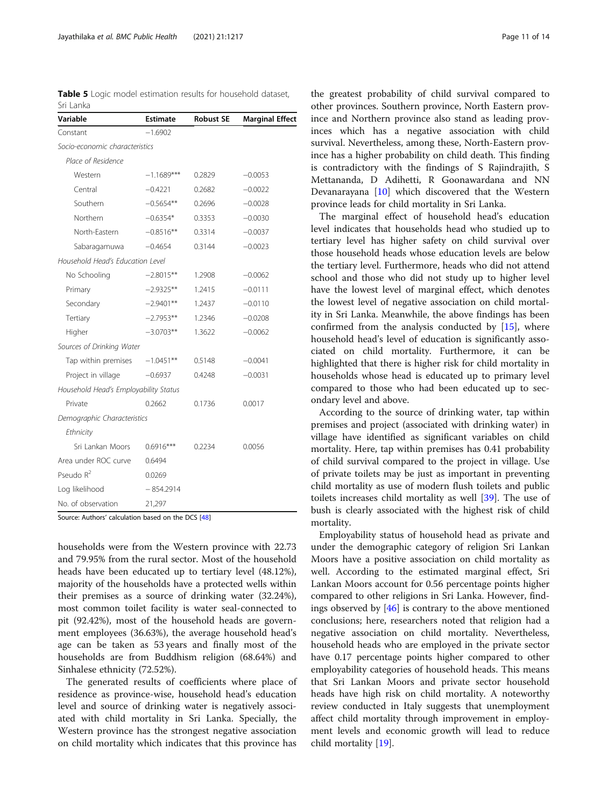<span id="page-10-0"></span>Table 5 Logic model estimation results for household dataset, Sri Lanka

| Variable                              | <b>Estimate</b> | <b>Robust SE</b> | <b>Marginal Effect</b> |
|---------------------------------------|-----------------|------------------|------------------------|
| Constant                              | $-1.6902$       |                  |                        |
| Socio-economic characteristics        |                 |                  |                        |
| Place of Residence                    |                 |                  |                        |
| Western                               | $-1.1689***$    | 0.2829           | $-0.0053$              |
| Central                               | $-0.4221$       | 0.2682           | $-0.0022$              |
| Southern                              | $-0.5654**$     | 0.2696           | $-0.0028$              |
| Northern                              | $-0.6354*$      | 0.3353           | $-0.0030$              |
| North-Eastern                         | $-0.8516**$     | 0.3314           | $-0.0037$              |
| Sabaragamuwa                          | $-0.4654$       | 0.3144           | $-0.0023$              |
| Household Head's Education Level      |                 |                  |                        |
| No Schooling                          | $-2.8015**$     | 1.2908           | $-0.0062$              |
| Primary                               | $-2.9325**$     | 1.2415           | $-0.0111$              |
| Secondary                             | $-2.9401**$     | 1.2437           | $-0.0110$              |
| Tertiary                              | $-2.7953**$     | 1.2346           | $-0.0208$              |
| Higher                                | $-3.0703**$     | 1.3622           | $-0.0062$              |
| Sources of Drinking Water             |                 |                  |                        |
| Tap within premises                   | $-1.0451**$     | 0.5148           | $-0.0041$              |
| Project in village                    | $-0.6937$       | 0.4248           | $-0.0031$              |
| Household Head's Employability Status |                 |                  |                        |
| Private                               | 0.2662          | 0.1736           | 0.0017                 |
| Demographic Characteristics           |                 |                  |                        |
| Ethnicity                             |                 |                  |                        |
| Sri Lankan Moors                      | $0.6916***$     | 0.2234           | 0.0056                 |
| Area under ROC curve                  | 0.6494          |                  |                        |
| Pseudo $R^2$                          | 0.0269          |                  |                        |
| Log likelihood                        | $-854.2914$     |                  |                        |
| No. of observation                    | 21,297          |                  |                        |

Source: Authors' calculation based on the DCS [[48\]](#page-13-0)

households were from the Western province with 22.73 and 79.95% from the rural sector. Most of the household heads have been educated up to tertiary level (48.12%), majority of the households have a protected wells within their premises as a source of drinking water (32.24%), most common toilet facility is water seal-connected to pit (92.42%), most of the household heads are government employees (36.63%), the average household head's age can be taken as 53 years and finally most of the households are from Buddhism religion (68.64%) and Sinhalese ethnicity (72.52%).

The generated results of coefficients where place of residence as province-wise, household head's education level and source of drinking water is negatively associated with child mortality in Sri Lanka. Specially, the Western province has the strongest negative association on child mortality which indicates that this province has

the greatest probability of child survival compared to other provinces. Southern province, North Eastern province and Northern province also stand as leading provinces which has a negative association with child survival. Nevertheless, among these, North-Eastern province has a higher probability on child death. This finding is contradictory with the findings of S Rajindrajith, S Mettananda, D Adihetti, R Goonawardana and NN Devanarayana [[10\]](#page-12-0) which discovered that the Western province leads for child mortality in Sri Lanka.

The marginal effect of household head's education level indicates that households head who studied up to tertiary level has higher safety on child survival over those household heads whose education levels are below the tertiary level. Furthermore, heads who did not attend school and those who did not study up to higher level have the lowest level of marginal effect, which denotes the lowest level of negative association on child mortality in Sri Lanka. Meanwhile, the above findings has been confirmed from the analysis conducted by [\[15\]](#page-12-0), where household head's level of education is significantly associated on child mortality. Furthermore, it can be highlighted that there is higher risk for child mortality in households whose head is educated up to primary level compared to those who had been educated up to secondary level and above.

According to the source of drinking water, tap within premises and project (associated with drinking water) in village have identified as significant variables on child mortality. Here, tap within premises has 0.41 probability of child survival compared to the project in village. Use of private toilets may be just as important in preventing child mortality as use of modern flush toilets and public toilets increases child mortality as well [\[39](#page-13-0)]. The use of bush is clearly associated with the highest risk of child mortality.

Employability status of household head as private and under the demographic category of religion Sri Lankan Moors have a positive association on child mortality as well. According to the estimated marginal effect, Sri Lankan Moors account for 0.56 percentage points higher compared to other religions in Sri Lanka. However, findings observed by [[46\]](#page-13-0) is contrary to the above mentioned conclusions; here, researchers noted that religion had a negative association on child mortality. Nevertheless, household heads who are employed in the private sector have 0.17 percentage points higher compared to other employability categories of household heads. This means that Sri Lankan Moors and private sector household heads have high risk on child mortality. A noteworthy review conducted in Italy suggests that unemployment affect child mortality through improvement in employment levels and economic growth will lead to reduce child mortality [\[19\]](#page-12-0).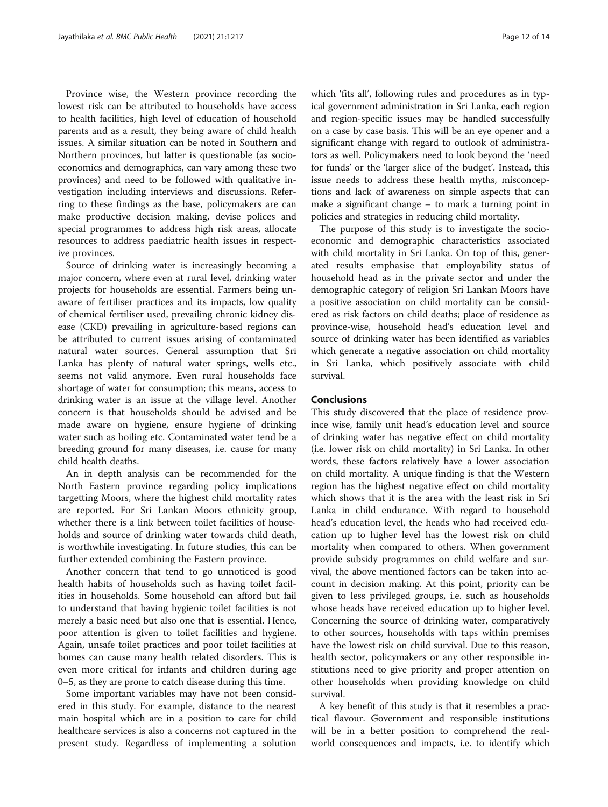Province wise, the Western province recording the lowest risk can be attributed to households have access to health facilities, high level of education of household parents and as a result, they being aware of child health issues. A similar situation can be noted in Southern and Northern provinces, but latter is questionable (as socioeconomics and demographics, can vary among these two provinces) and need to be followed with qualitative investigation including interviews and discussions. Referring to these findings as the base, policymakers are can make productive decision making, devise polices and special programmes to address high risk areas, allocate resources to address paediatric health issues in respective provinces.

Source of drinking water is increasingly becoming a major concern, where even at rural level, drinking water projects for households are essential. Farmers being unaware of fertiliser practices and its impacts, low quality of chemical fertiliser used, prevailing chronic kidney disease (CKD) prevailing in agriculture-based regions can be attributed to current issues arising of contaminated natural water sources. General assumption that Sri Lanka has plenty of natural water springs, wells etc., seems not valid anymore. Even rural households face shortage of water for consumption; this means, access to drinking water is an issue at the village level. Another concern is that households should be advised and be made aware on hygiene, ensure hygiene of drinking water such as boiling etc. Contaminated water tend be a breeding ground for many diseases, i.e. cause for many child health deaths.

An in depth analysis can be recommended for the North Eastern province regarding policy implications targetting Moors, where the highest child mortality rates are reported. For Sri Lankan Moors ethnicity group, whether there is a link between toilet facilities of households and source of drinking water towards child death, is worthwhile investigating. In future studies, this can be further extended combining the Eastern province.

Another concern that tend to go unnoticed is good health habits of households such as having toilet facilities in households. Some household can afford but fail to understand that having hygienic toilet facilities is not merely a basic need but also one that is essential. Hence, poor attention is given to toilet facilities and hygiene. Again, unsafe toilet practices and poor toilet facilities at homes can cause many health related disorders. This is even more critical for infants and children during age 0–5, as they are prone to catch disease during this time.

Some important variables may have not been considered in this study. For example, distance to the nearest main hospital which are in a position to care for child healthcare services is also a concerns not captured in the present study. Regardless of implementing a solution which 'fits all', following rules and procedures as in typical government administration in Sri Lanka, each region and region-specific issues may be handled successfully on a case by case basis. This will be an eye opener and a significant change with regard to outlook of administrators as well. Policymakers need to look beyond the 'need for funds' or the 'larger slice of the budget'. Instead, this issue needs to address these health myths, misconceptions and lack of awareness on simple aspects that can make a significant change – to mark a turning point in policies and strategies in reducing child mortality.

The purpose of this study is to investigate the socioeconomic and demographic characteristics associated with child mortality in Sri Lanka. On top of this, generated results emphasise that employability status of household head as in the private sector and under the demographic category of religion Sri Lankan Moors have a positive association on child mortality can be considered as risk factors on child deaths; place of residence as province-wise, household head's education level and source of drinking water has been identified as variables which generate a negative association on child mortality in Sri Lanka, which positively associate with child survival.

## Conclusions

This study discovered that the place of residence province wise, family unit head's education level and source of drinking water has negative effect on child mortality (i.e. lower risk on child mortality) in Sri Lanka. In other words, these factors relatively have a lower association on child mortality. A unique finding is that the Western region has the highest negative effect on child mortality which shows that it is the area with the least risk in Sri Lanka in child endurance. With regard to household head's education level, the heads who had received education up to higher level has the lowest risk on child mortality when compared to others. When government provide subsidy programmes on child welfare and survival, the above mentioned factors can be taken into account in decision making. At this point, priority can be given to less privileged groups, i.e. such as households whose heads have received education up to higher level. Concerning the source of drinking water, comparatively to other sources, households with taps within premises have the lowest risk on child survival. Due to this reason, health sector, policymakers or any other responsible institutions need to give priority and proper attention on other households when providing knowledge on child survival.

A key benefit of this study is that it resembles a practical flavour. Government and responsible institutions will be in a better position to comprehend the realworld consequences and impacts, i.e. to identify which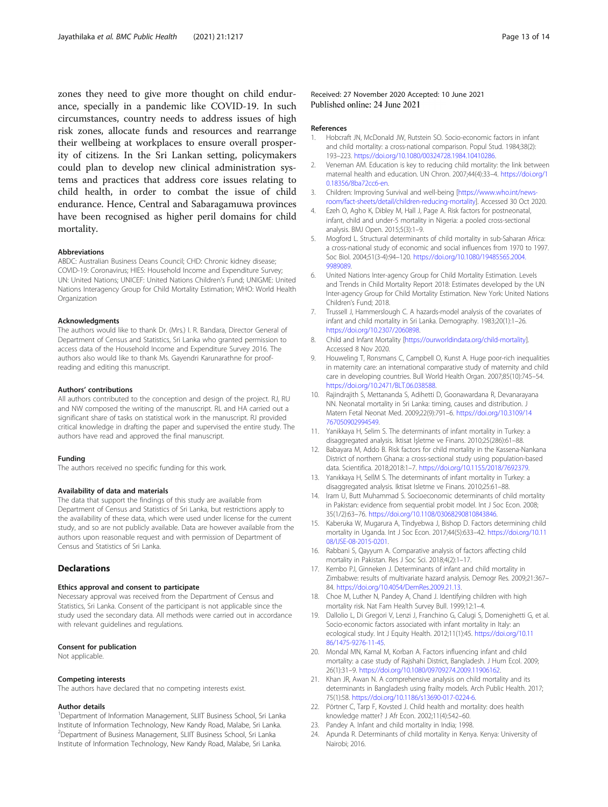<span id="page-12-0"></span>zones they need to give more thought on child endurance, specially in a pandemic like COVID-19. In such circumstances, country needs to address issues of high risk zones, allocate funds and resources and rearrange their wellbeing at workplaces to ensure overall prosperity of citizens. In the Sri Lankan setting, policymakers could plan to develop new clinical administration systems and practices that address core issues relating to child health, in order to combat the issue of child endurance. Hence, Central and Sabaragamuwa provinces have been recognised as higher peril domains for child mortality.

#### Abbreviations

ABDC: Australian Business Deans Council; CHD: Chronic kidney disease; COVID-19: Coronavirus; HIES: Household Income and Expenditure Survey; UN: United Nations; UNICEF: United Nations Children's Fund; UNIGME: United Nations Interagency Group for Child Mortality Estimation; WHO: World Health **Organization** 

#### Acknowledgments

The authors would like to thank Dr. (Mrs.) I. R. Bandara, Director General of Department of Census and Statistics, Sri Lanka who granted permission to access data of the Household Income and Expenditure Survey 2016. The authors also would like to thank Ms. Gayendri Karunarathne for proofreading and editing this manuscript.

#### Authors' contributions

All authors contributed to the conception and design of the project. RJ, RU and NW composed the writing of the manuscript. RL and HA carried out a significant share of tasks on statistical work in the manuscript. RJ provided critical knowledge in drafting the paper and supervised the entire study. The authors have read and approved the final manuscript.

#### Funding

The authors received no specific funding for this work.

#### Availability of data and materials

The data that support the findings of this study are available from Department of Census and Statistics of Sri Lanka, but restrictions apply to the availability of these data, which were used under license for the current study, and so are not publicly available. Data are however available from the authors upon reasonable request and with permission of Department of Census and Statistics of Sri Lanka.

#### **Declarations**

#### Ethics approval and consent to participate

Necessary approval was received from the Department of Census and Statistics, Sri Lanka. Consent of the participant is not applicable since the study used the secondary data. All methods were carried out in accordance with relevant guidelines and regulations.

#### Consent for publication

Not applicable.

#### Competing interests

The authors have declared that no competing interests exist.

#### Author details

<sup>1</sup>Department of Information Management, SLIIT Business School, Sri Lanka Institute of Information Technology, New Kandy Road, Malabe, Sri Lanka. 2 Department of Business Management, SLIIT Business School, Sri Lanka Institute of Information Technology, New Kandy Road, Malabe, Sri Lanka.

### Received: 27 November 2020 Accepted: 10 June 2021 Published online: 24 June 2021

#### References

- 1. Hobcraft JN, McDonald JW, Rutstein SO. Socio-economic factors in infant and child mortality: a cross-national comparison. Popul Stud. 1984;38(2): 193–223. [https://doi.org/10.1080/00324728.1984.10410286.](https://doi.org/10.1080/00324728.1984.10410286)
- 2. Veneman AM. Education is key to reducing child mortality: the link between maternal health and education. UN Chron. 2007;44(4):33–4. [https://doi.org/1](https://doi.org/10.18356/8ba72cc6-en) [0.18356/8ba72cc6-en](https://doi.org/10.18356/8ba72cc6-en).
- 3. Children: Improving Survival and well-being [\[https://www.who.int/news](https://www.who.int/news-room/fact-sheets/detail/children-reducing-mortality)[room/fact-sheets/detail/children-reducing-mortality](https://www.who.int/news-room/fact-sheets/detail/children-reducing-mortality)]. Accessed 30 Oct 2020.
- 4. Ezeh O, Agho K, Dibley M, Hall J, Page A. Risk factors for postneonatal, infant, child and under-5 mortality in Nigeria: a pooled cross-sectional analysis. BMJ Open. 2015;5(3):1–9.
- 5. Mogford L. Structural determinants of child mortality in sub-Saharan Africa: a cross-national study of economic and social influences from 1970 to 1997. Soc Biol. 2004;51(3-4):94–120. [https://doi.org/10.1080/19485565.2004.](https://doi.org/10.1080/19485565.2004.9989089) [9989089.](https://doi.org/10.1080/19485565.2004.9989089)
- 6. United Nations Inter-agency Group for Child Mortality Estimation. Levels and Trends in Child Mortality Report 2018: Estimates developed by the UN Inter-agency Group for Child Mortality Estimation. New York: United Nations Children's Fund; 2018.
- 7. Trussell J, Hammerslough C. A hazards-model analysis of the covariates of infant and child mortality in Sri Lanka. Demography. 1983;20(1):1–26. [https://doi.org/10.2307/2060898.](https://doi.org/10.2307/2060898)
- 8. Child and Infant Mortality [<https://ourworldindata.org/child-mortality>]. Accessed 8 Nov 2020.
- 9. Houweling T, Ronsmans C, Campbell O, Kunst A. Huge poor-rich inequalities in maternity care: an international comparative study of maternity and child care in developing countries. Bull World Health Organ. 2007;85(10):745–54. [https://doi.org/10.2471/BLT.06.038588.](https://doi.org/10.2471/BLT.06.038588)
- 10. Rajindrajith S, Mettananda S, Adihetti D, Goonawardana R, Devanarayana NN. Neonatal mortality in Sri Lanka: timing, causes and distribution. J Matern Fetal Neonat Med. 2009;22(9):791–6. [https://doi.org/10.3109/14](https://doi.org/10.3109/14767050902994549) [767050902994549.](https://doi.org/10.3109/14767050902994549)
- 11. Yanikkaya H, Selim S. The determinants of infant mortality in Turkey: a disaggregated analysis. İktisat İşletme ve Finans. 2010;25(286):61–88.
- 12. Babayara M, Addo B. Risk factors for child mortality in the Kassena-Nankana District of northern Ghana: a cross-sectional study using population-based data. Scientifica. 2018;2018:1–7. [https://doi.org/10.1155/2018/7692379.](https://doi.org/10.1155/2018/7692379)
- 13. Yanıkkaya H, SelİM S. The determinants of infant mortality in Turkey: a disaggregated analysis. Iktisat Isletme ve Finans. 2010;25:61–88.
- 14. Iram U, Butt Muhammad S. Socioeconomic determinants of child mortality in Pakistan: evidence from sequential probit model. Int J Soc Econ. 2008; 35(1/2):63–76. <https://doi.org/10.1108/03068290810843846>.
- 15. Kaberuka W, Mugarura A, Tindyebwa J, Bishop D. Factors determining child mortality in Uganda. Int J Soc Econ. 2017;44(5):633–42. [https://doi.org/10.11](https://doi.org/10.1108/IJSE-08-2015-0201) [08/IJSE-08-2015-0201.](https://doi.org/10.1108/IJSE-08-2015-0201)
- 16. Rabbani S, Qayyum A. Comparative analysis of factors affecting child mortality in Pakistan. Res J Soc Sci. 2018;4(2):1–17.
- 17. Kembo PJ, Ginneken J. Determinants of infant and child mortality in Zimbabwe: results of multivariate hazard analysis. Demogr Res. 2009;21:367– 84. <https://doi.org/10.4054/DemRes.2009.21.13>.
- 18. Choe M, Luther N, Pandey A, Chand J. Identifying children with high mortality risk. Nat Fam Health Survey Bull. 1999;12:1–4.
- 19. Dallolio L, Di Gregori V, Lenzi J, Franchino G, Calugi S, Domenighetti G, et al. Socio-economic factors associated with infant mortality in Italy: an ecological study. Int J Equity Health. 2012;11(1):45. [https://doi.org/10.11](https://doi.org/10.1186/1475-9276-11-45) [86/1475-9276-11-45](https://doi.org/10.1186/1475-9276-11-45).
- 20. Mondal MN, Kamal M, Korban A. Factors influencing infant and child mortality: a case study of Rajshahi District, Bangladesh. J Hum Ecol. 2009; 26(1):31–9. [https://doi.org/10.1080/09709274.2009.11906162.](https://doi.org/10.1080/09709274.2009.11906162)
- 21. Khan JR, Awan N. A comprehensive analysis on child mortality and its determinants in Bangladesh using frailty models. Arch Public Health. 2017; 75(1):58. <https://doi.org/10.1186/s13690-017-0224-6>.
- 22. Pörtner C, Tarp F, Kovsted J. Child health and mortality: does health knowledge matter? J Afr Econ. 2002;11(4):542–60.
- 23. Pandey A. Infant and child mortality in India; 1998.
- 24. Apunda R. Determinants of child mortality in Kenya. Kenya: University of Nairobi; 2016.